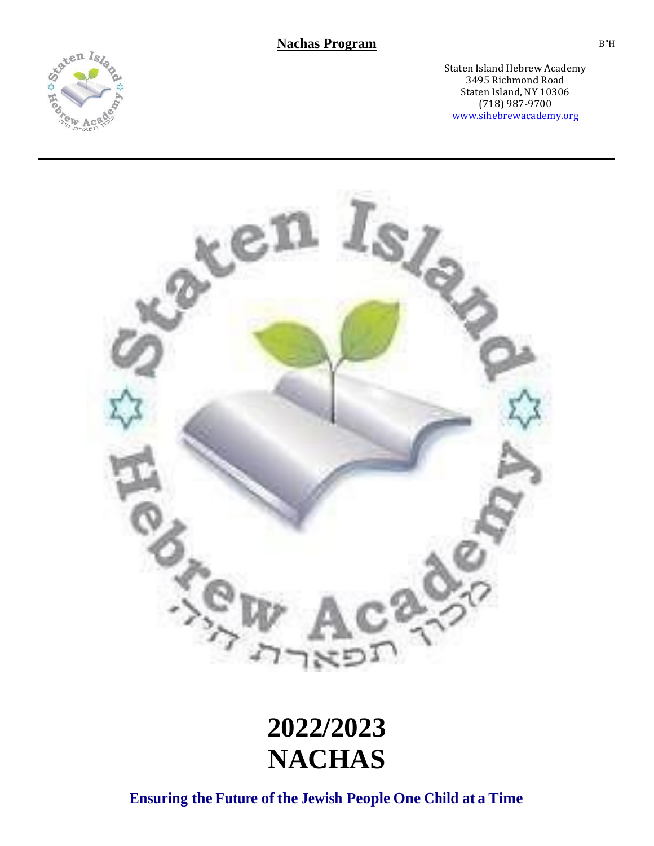



# **2022/2023 NACHAS**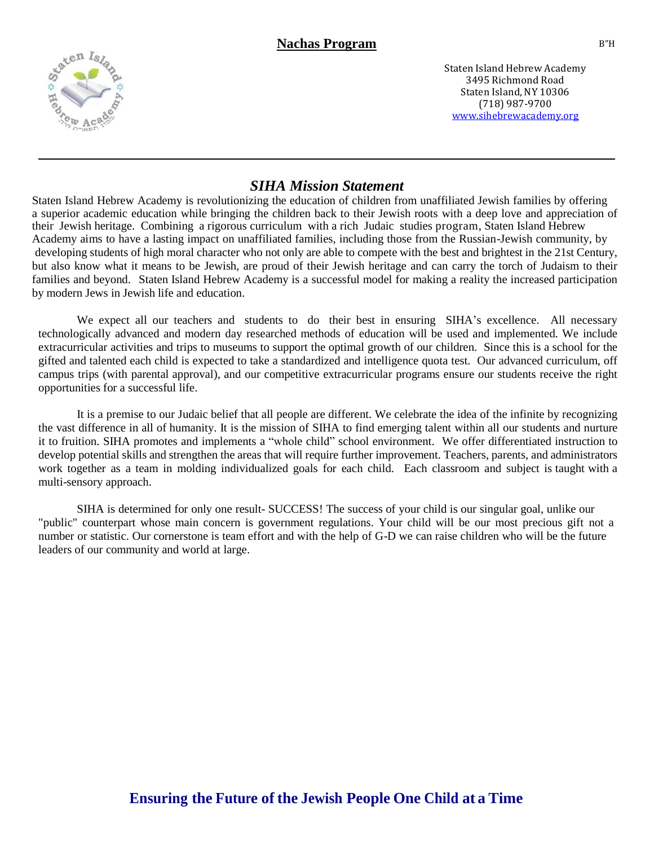

## *SIHA Mission Statement*

Staten Island Hebrew Academy is revolutionizing the education of children from unaffiliated Jewish families by offering a superior academic education while bringing the children back to their Jewish roots with a deep love and appreciation of their Jewish heritage. Combining a rigorous curriculum with a rich Judaic studies program, Staten Island Hebrew Academy aims to have a lasting impact on unaffiliated families, including those from the Russian-Jewish community, by developing students of high moral character who not only are able to compete with the best and brightest in the 21st Century, but also know what it means to be Jewish, are proud of their Jewish heritage and can carry the torch of Judaism to their families and beyond. Staten Island Hebrew Academy is a successful model for making a reality the increased participation by modern Jews in Jewish life and education.

We expect all our teachers and students to do their best in ensuring SIHA's excellence. All necessary technologically advanced and modern day researched methods of education will be used and implemented. We include extracurricular activities and trips to museums to support the optimal growth of our children. Since this is a school for the gifted and talented each child is expected to take a standardized and intelligence quota test. Our advanced curriculum, off campus trips (with parental approval), and our competitive extracurricular programs ensure our students receive the right opportunities for a successful life.

It is a premise to our Judaic belief that all people are different. We celebrate the idea of the infinite by recognizing the vast difference in all of humanity. It is the mission of SIHA to find emerging talent within all our students and nurture it to fruition. SIHA promotes and implements a "whole child" school environment. We offer differentiated instruction to develop potential skills and strengthen the areas that will require further improvement. Teachers, parents, and administrators work together as a team in molding individualized goals for each child. Each classroom and subject is taught with a multi-sensory approach.

SIHA is determined for only one result- SUCCESS! The success of your child is our singular goal, unlike our "public" counterpart whose main concern is government regulations. Your child will be our most precious gift not a number or statistic. Our cornerstone is team effort and with the help of G-D we can raise children who will be the future leaders of our community and world at large.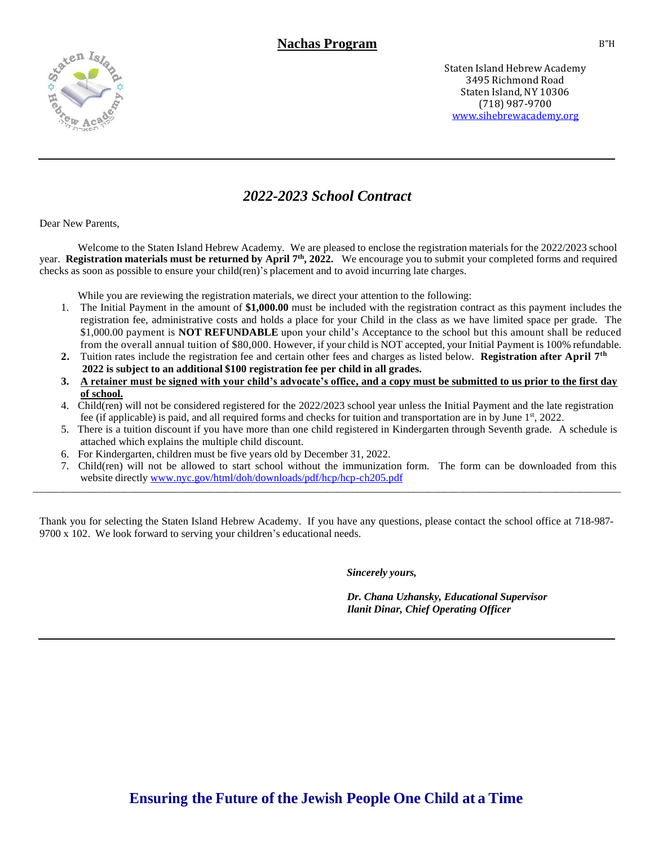

# *2022-2023 School Contract*

Dear New Parents,

Welcome to the Staten Island Hebrew Academy. We are pleased to enclose the registration materials for the 2022/2023 school year. **Registration materials must be returned by April 7 th , 2022.** We encourage you to submit your completed forms and required checks as soon as possible to ensure your child(ren)'s placement and to avoid incurring late charges.

While you are reviewing the registration materials, we direct your attention to the following:

- 1. The Initial Payment in the amount of **\$1,000.00** must be included with the registration contract as this payment includes the registration fee, administrative costs and holds a place for your Child in the class as we have limited space per grade. The \$1,000.00 payment is **NOT REFUNDABLE** upon your child's Acceptance to the school but this amount shall be reduced from the overall annual tuition of \$80,000. However, if your child is NOT accepted, your Initial Payment is 100% refundable.
- 2. Tuition rates include the registration fee and certain other fees and charges as listed below. **Registration after April 7**<sup>th</sup>  **2022 is subject to an additional \$100 registration fee per child in all grades.**
- **3. A retainer must be signed with your child's advocate's office, and a copy must be submitted to us prior to the first day of school.**
- 4. Child(ren) will not be considered registered for the 2022/2023 school year unless the Initial Payment and the late registration fee (if applicable) is paid, and all required forms and checks for tuition and transportation are in by June 1<sup>st</sup>, 2022.
- 5. There is a tuition discount if you have more than one child registered in Kindergarten through Seventh grade. A schedule is attached which explains the multiple child discount.
- 6. For Kindergarten, children must be five years old by December 31, 2022.
- 7. Child(ren) will not be allowed to start school without the immunization form. The form can be downloaded from this website directly [www.nyc.gov/html/doh/downloads/pdf/hcp/hcp-ch205.pdf](http://www.nyc.gov/html/doh/downloads/pdf/hcp/hcp-ch205.pdf) \_\_\_\_\_\_\_\_\_\_\_\_\_\_\_\_\_\_\_\_\_\_\_\_\_\_\_\_\_\_\_\_\_\_\_\_\_\_\_\_\_\_\_\_\_\_\_\_\_\_\_\_\_\_\_\_\_\_\_\_\_\_\_\_\_\_\_\_\_\_\_\_\_\_\_\_\_\_\_\_\_\_\_\_\_\_\_\_\_\_\_\_\_\_\_\_\_\_\_\_\_\_\_\_\_\_\_\_\_\_\_\_\_\_\_\_

Thank you for selecting the Staten Island Hebrew Academy. If you have any questions, please contact the school office at 718-987- 9700 x 102. We look forward to serving your children's educational needs.

*Sincerely yours,*

*Dr. Chana Uzhansky, Educational Supervisor Ilanit Dinar, Chief Operating Officer*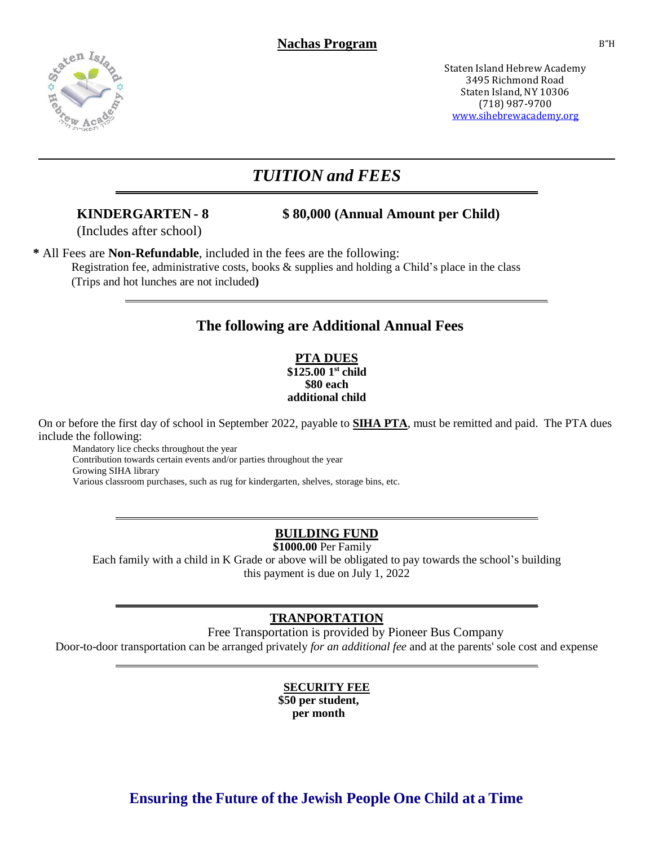

# *TUITION and FEES*

**KINDERGARTEN - 8 \$ 80,000 (Annual Amount per Child)**

(Includes after school)

**\*** All Fees are **Non-Refundable**, included in the fees are the following: Registration fee, administrative costs, books & supplies and holding a Child's place in the class (Trips and hot lunches are not included**)**

# **The following are Additional Annual Fees**

**PTA DUES \$125.00 1 st child \$80 each additional child** 

On or before the first day of school in September 2022, payable to **SIHA PTA**, must be remitted and paid. The PTA dues include the following:

 Mandatory lice checks throughout the year Contribution towards certain events and/or parties throughout the year Growing SIHA library Various classroom purchases, such as rug for kindergarten, shelves, storage bins, etc.

# **BUILDING FUND**

**\$1000.00** Per Family

Each family with a child in K Grade or above will be obligated to pay towards the school's building this payment is due on July 1, 2022

# **TRANPORTATION**

Free Transportation is provided by Pioneer Bus Company Door-to-door transportation can be arranged privately *for an additional fee* and at the parents' sole cost and expense

# **SECURITY FEE**

**\$50 per student, per month**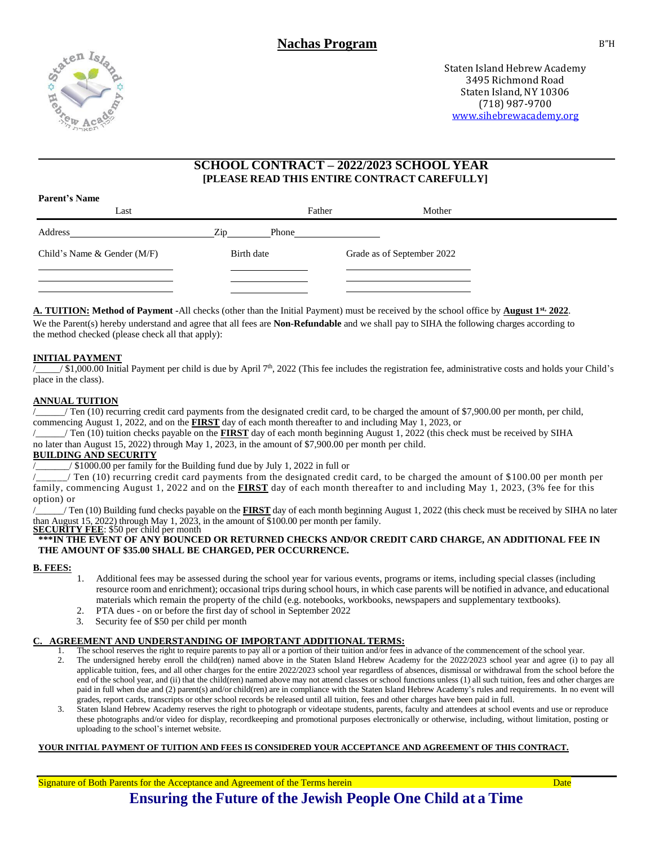

**Parent's Name**

Staten Island Hebrew Academy 3495 Richmond Road Staten Island, NY 10306 (718) 987-9700 [www.sihebrewacademy.org](http://www.sihebrewacademy.org/)

#### **SCHOOL CONTRACT – 2022/2023 SCHOOL YEAR [PLEASE READ THIS ENTIRE CONTRACT CAREFULLY]**

| 1 агын этчине<br>Last       |              | Father | Mother                     |  |
|-----------------------------|--------------|--------|----------------------------|--|
| Address                     | Zip<br>Phone |        |                            |  |
| Child's Name & Gender (M/F) | Birth date   |        | Grade as of September 2022 |  |
|                             |              |        |                            |  |

**A. TUITION: Method of Payment -**All checks (other than the Initial Payment) must be received by the school office by **August 1st, 2022**. We the Parent(s) hereby understand and agree that all fees are **Non-Refundable** and we shall pay to SIHA the following charges according to the method checked (please check all that apply):

#### **INITIAL PAYMENT**

/\_\_\_/\$1,000.00 Initial Payment per child is due by April 7<sup>th</sup>, 2022 (This fee includes the registration fee, administrative costs and holds your Child's place in the class).

#### **ANNUAL TUITION**

/ Ten (10) recurring credit card payments from the designated credit card, to be charged the amount of \$7,900.00 per month, per child, commencing August 1, 2022, and on the **FIRST** day of each month thereafter to and including May 1, 2023, or

/\_\_\_\_\_\_/ Ten (10) tuition checks payable on the **FIRST** day of each month beginning August 1, 2022 (this check must be received by SIHA no later than August 15, 2022) through May 1, 2023, in the amount of \$7,900.00 per month per child.

#### **BUILDING AND SECURITY**

 $/$  \$1000.00 per family for the Building fund due by July 1, 2022 in full or

 $\angle$  Ten (10) recurring credit card payments from the designated credit card, to be charged the amount of \$100.00 per month per family, commencing August 1, 2022 and on the **FIRST** day of each month thereafter to and including May 1, 2023, (3% fee for this option) or

/\_\_\_\_\_\_/ Ten (10) Building fund checks payable on the **FIRST** day of each month beginning August 1, 2022 (this check must be received by SIHA no later than August 15, 2022) through May 1, 2023, in the amount of \$100.00 per month per family.

**SECURITY FEE**: \$50 per child per month **\*\*\*IN THE EVENT OF ANY BOUNCED OR RETURNED CHECKS AND/OR CREDIT CARD CHARGE, AN ADDITIONAL FEE IN THE AMOUNT OF \$35.00 SHALL BE CHARGED, PER OCCURRENCE.**

#### **B. FEES:**

- 1. Additional fees may be assessed during the school year for various events, programs or items, including special classes (including resource room and enrichment); occasional trips during school hours, in which case parents will be notified in advance, and educational materials which remain the property of the child (e.g. notebooks, workbooks, newspapers and supplementary textbooks).
- 2. PTA dues on or before the first day of school in September 2022
- 3. Security fee of \$50 per child per month

#### **C. AGREEMENT AND UNDERSTANDING OF IMPORTANT ADDITIONAL TERMS:**

1. The school reserves the right to require parents to pay all or a portion of their tuition and/or fees in advance of the commencement of the school year.

- 2. The undersigned hereby enroll the child(ren) named above in the Staten Island Hebrew Academy for the 2022/2023 school year and agree (i) to pay all applicable tuition, fees, and all other charges for the entire 2022/2023 school year regardless of absences, dismissal or withdrawal from the school before the end of the school year, and (ii) that the child(ren) named above may not attend classes or school functions unless (1) all such tuition, fees and other charges are paid in full when due and (2) parent(s) and/or child(ren) are in compliance with the Staten Island Hebrew Academy's rules and requirements. In no event will grades, report cards, transcripts or other school records be released until all tuition, fees and other charges have been paid in full.
- 3. Staten Island Hebrew Academy reserves the right to photograph or videotape students, parents, faculty and attendees at school events and use or reproduce these photographs and/or video for display, recordkeeping and promotional purposes electronically or otherwise, including, without limitation, posting or uploading to the school's internet website.

#### **YOUR INITIAL PAYMENT OF TUITION AND FEES IS CONSIDERED YOUR ACCEPTANCE AND AGREEMENT OF THIS CONTRACT.**

Signature of Both Parents for the Acceptance and Agreement of the Terms herein Date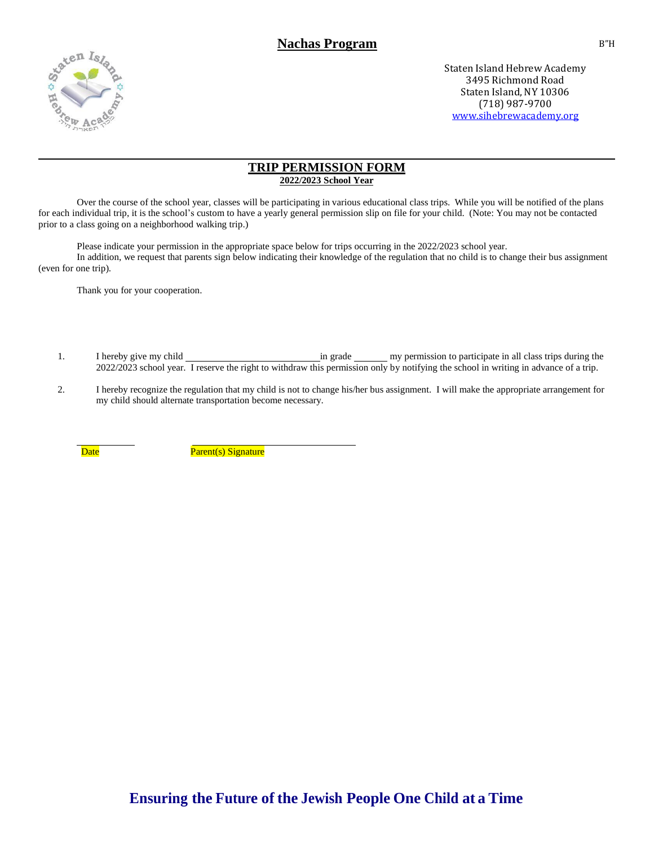

#### **TRIP PERMISSION FORM 2022/2023 School Year**

Over the course of the school year, classes will be participating in various educational class trips. While you will be notified of the plans for each individual trip, it is the school's custom to have a yearly general permission slip on file for your child. (Note: You may not be contacted prior to a class going on a neighborhood walking trip.)

Please indicate your permission in the appropriate space below for trips occurring in the 2022/2023 school year. In addition, we request that parents sign below indicating their knowledge of the regulation that no child is to change their bus assignment (even for one trip).

Thank you for your cooperation.

- 1. I hereby give my child **in grade** in grade my permission to participate in all class trips during the 2022/2023 school year. I reserve the right to withdraw this permission only by notifying the school in writing in advance of a trip.
- 2. I hereby recognize the regulation that my child is not to change his/her bus assignment. I will make the appropriate arrangement for my child should alternate transportation become necessary.

Date **Parent**(s) Signature

B"H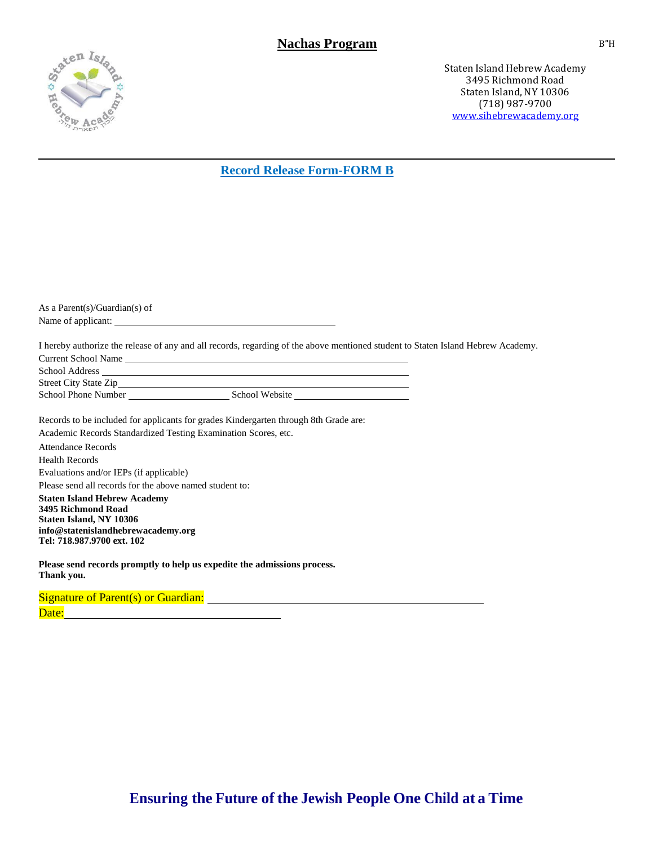

### **Record Release Form-FORM B**

| As a Parent(s)/Guardian(s) of                                                                                                    |  |  |  |  |  |  |
|----------------------------------------------------------------------------------------------------------------------------------|--|--|--|--|--|--|
|                                                                                                                                  |  |  |  |  |  |  |
|                                                                                                                                  |  |  |  |  |  |  |
| I hereby authorize the release of any and all records, regarding of the above mentioned student to Staten Island Hebrew Academy. |  |  |  |  |  |  |
| Current School Name                                                                                                              |  |  |  |  |  |  |
| School Address New York and School Address                                                                                       |  |  |  |  |  |  |
|                                                                                                                                  |  |  |  |  |  |  |
|                                                                                                                                  |  |  |  |  |  |  |
|                                                                                                                                  |  |  |  |  |  |  |
| Records to be included for applicants for grades Kindergarten through 8th Grade are:                                             |  |  |  |  |  |  |
| Academic Records Standardized Testing Examination Scores, etc.                                                                   |  |  |  |  |  |  |
| <b>Attendance Records</b>                                                                                                        |  |  |  |  |  |  |
| <b>Health Records</b>                                                                                                            |  |  |  |  |  |  |
| Evaluations and/or IEPs (if applicable)                                                                                          |  |  |  |  |  |  |
| Please send all records for the above named student to:                                                                          |  |  |  |  |  |  |
| <b>Staten Island Hebrew Academy</b>                                                                                              |  |  |  |  |  |  |
| 3495 Richmond Road                                                                                                               |  |  |  |  |  |  |
| Staten Island, NY 10306                                                                                                          |  |  |  |  |  |  |
| info@statenislandhebrewacademy.org<br>Tel: 718.987.9700 ext. 102                                                                 |  |  |  |  |  |  |
|                                                                                                                                  |  |  |  |  |  |  |
| Please send records promptly to help us expedite the admissions process.<br>Thank you.                                           |  |  |  |  |  |  |

Signature of Parent(s) or Guardian: Date: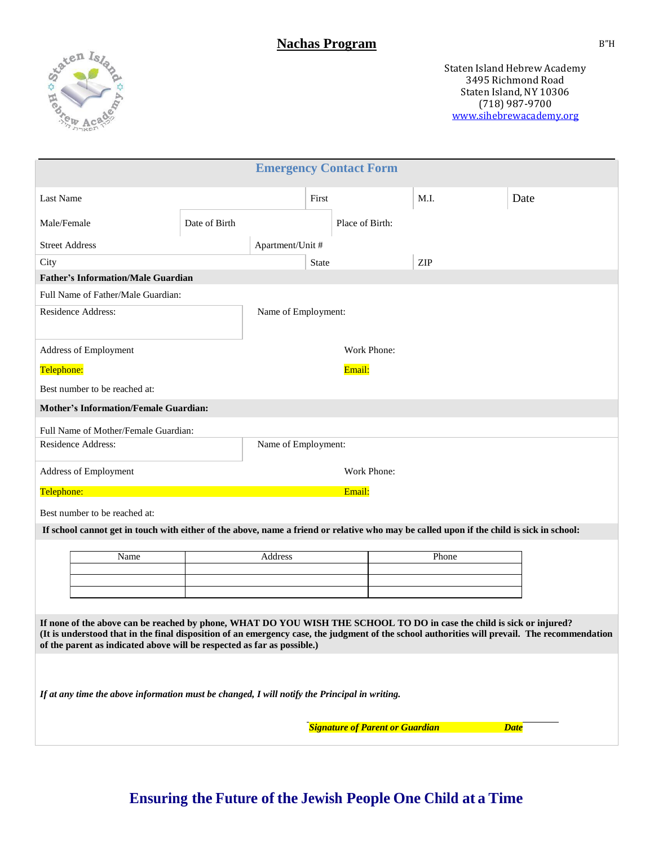

|                                                                                                                                                                                                                                                                                                                                                   |               |                     |              | <b>Emergency Contact Form</b>          |       |             |  |
|---------------------------------------------------------------------------------------------------------------------------------------------------------------------------------------------------------------------------------------------------------------------------------------------------------------------------------------------------|---------------|---------------------|--------------|----------------------------------------|-------|-------------|--|
| Last Name                                                                                                                                                                                                                                                                                                                                         |               |                     | First        |                                        | M.I.  | Date        |  |
| Male/Female                                                                                                                                                                                                                                                                                                                                       | Date of Birth |                     |              | Place of Birth:                        |       |             |  |
| <b>Street Address</b>                                                                                                                                                                                                                                                                                                                             |               | Apartment/Unit #    |              |                                        |       |             |  |
| City                                                                                                                                                                                                                                                                                                                                              |               |                     | <b>State</b> |                                        | ZIP   |             |  |
| <b>Father's Information/Male Guardian</b>                                                                                                                                                                                                                                                                                                         |               |                     |              |                                        |       |             |  |
| Full Name of Father/Male Guardian:                                                                                                                                                                                                                                                                                                                |               |                     |              |                                        |       |             |  |
| Residence Address:                                                                                                                                                                                                                                                                                                                                |               | Name of Employment: |              |                                        |       |             |  |
| Address of Employment                                                                                                                                                                                                                                                                                                                             |               |                     |              | Work Phone:                            |       |             |  |
| Telephone:                                                                                                                                                                                                                                                                                                                                        |               |                     |              | Email:                                 |       |             |  |
| Best number to be reached at:                                                                                                                                                                                                                                                                                                                     |               |                     |              |                                        |       |             |  |
| <b>Mother's Information/Female Guardian:</b>                                                                                                                                                                                                                                                                                                      |               |                     |              |                                        |       |             |  |
| Full Name of Mother/Female Guardian:                                                                                                                                                                                                                                                                                                              |               |                     |              |                                        |       |             |  |
| Residence Address:                                                                                                                                                                                                                                                                                                                                |               | Name of Employment: |              |                                        |       |             |  |
| Address of Employment                                                                                                                                                                                                                                                                                                                             |               |                     |              | Work Phone:                            |       |             |  |
| Telephone:                                                                                                                                                                                                                                                                                                                                        |               |                     |              | Email:                                 |       |             |  |
| Best number to be reached at:                                                                                                                                                                                                                                                                                                                     |               |                     |              |                                        |       |             |  |
| If school cannot get in touch with either of the above, name a friend or relative who may be called upon if the child is sick in school:                                                                                                                                                                                                          |               |                     |              |                                        |       |             |  |
| Name                                                                                                                                                                                                                                                                                                                                              |               | Address             |              |                                        | Phone |             |  |
|                                                                                                                                                                                                                                                                                                                                                   |               |                     |              |                                        |       |             |  |
|                                                                                                                                                                                                                                                                                                                                                   |               |                     |              |                                        |       |             |  |
|                                                                                                                                                                                                                                                                                                                                                   |               |                     |              |                                        |       |             |  |
| If none of the above can be reached by phone, WHAT DO YOU WISH THE SCHOOL TO DO in case the child is sick or injured?<br>(It is understood that in the final disposition of an emergency case, the judgment of the school authorities will prevail. The recommendation<br>of the parent as indicated above will be respected as far as possible.) |               |                     |              |                                        |       |             |  |
|                                                                                                                                                                                                                                                                                                                                                   |               |                     |              |                                        |       |             |  |
| If at any time the above information must be changed, I will notify the Principal in writing.                                                                                                                                                                                                                                                     |               |                     |              |                                        |       |             |  |
|                                                                                                                                                                                                                                                                                                                                                   |               |                     |              | <b>Signature of Parent or Guardian</b> |       | <b>Date</b> |  |